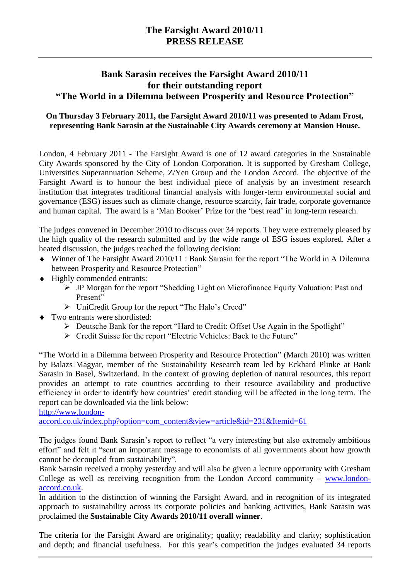## **The Farsight Award 2010/11 PRESS RELEASE**

## **Bank Sarasin receives the Farsight Award 2010/11 for their outstanding report "The World in a Dilemma between Prosperity and Resource Protection"**

### **On Thursday 3 February 2011, the Farsight Award 2010/11 was presented to Adam Frost, representing Bank Sarasin at the Sustainable City Awards ceremony at Mansion House.**

London, 4 February 2011 - The Farsight Award is one of 12 award categories in the Sustainable City Awards sponsored by the City of London Corporation. It is supported by Gresham College, Universities Superannuation Scheme, Z/Yen Group and the London Accord. The objective of the Farsight Award is to honour the best individual piece of analysis by an investment research institution that integrates traditional financial analysis with longer-term environmental social and governance (ESG) issues such as climate change, resource scarcity, fair trade, corporate governance and human capital. The award is a 'Man Booker' Prize for the 'best read' in long-term research.

The judges convened in December 2010 to discuss over 34 reports. They were extremely pleased by the high quality of the research submitted and by the wide range of ESG issues explored. After a heated discussion, the judges reached the following decision:

- Winner of The Farsight Award 2010/11 : Bank Sarasin for the report "The World in A Dilemma between Prosperity and Resource Protection"
- $\triangle$  Highly commended entrants:
	- JP Morgan for the report "Shedding Light on Microfinance Equity Valuation: Past and Present"
	- > UniCredit Group for the report "The Halo's Creed"
- $\triangleleft$  Two entrants were shortlisted:
	- Deutsche Bank for the report "Hard to Credit: Offset Use Again in the Spotlight"
	- Credit Suisse for the report "Electric Vehicles: Back to the Future"

"The World in a Dilemma between Prosperity and Resource Protection" (March 2010) was written by Balazs Magyar, member of the Sustainability Research team led by Eckhard Plinke at Bank Sarasin in Basel, Switzerland. In the context of growing depletion of natural resources, this report provides an attempt to rate countries according to their resource availability and productive efficiency in order to identify how countries' credit standing will be affected in the long term. The report can be downloaded via the link below:

[http://www.london-](http://www.london-accord.co.uk/index.php?option=com_content&view=article&id=231&Itemid=61)

[accord.co.uk/index.php?option=com\\_content&view=article&id=231&Itemid=61](http://www.london-accord.co.uk/index.php?option=com_content&view=article&id=231&Itemid=61)

The judges found Bank Sarasin"s report to reflect "a very interesting but also extremely ambitious effort" and felt it "sent an important message to economists of all governments about how growth cannot be decoupled from sustainability".

Bank Sarasin received a trophy yesterday and will also be given a lecture opportunity with Gresham College as well as receiving recognition from the London Accord community – [www.london](http://www.london-accord.co.uk/)[accord.co.uk.](http://www.london-accord.co.uk/)

In addition to the distinction of winning the Farsight Award, and in recognition of its integrated approach to sustainability across its corporate policies and banking activities, Bank Sarasin was proclaimed the **Sustainable City Awards 2010/11 overall winner**.

The criteria for the Farsight Award are originality; quality; readability and clarity; sophistication and depth; and financial usefulness. For this year's competition the judges evaluated 34 reports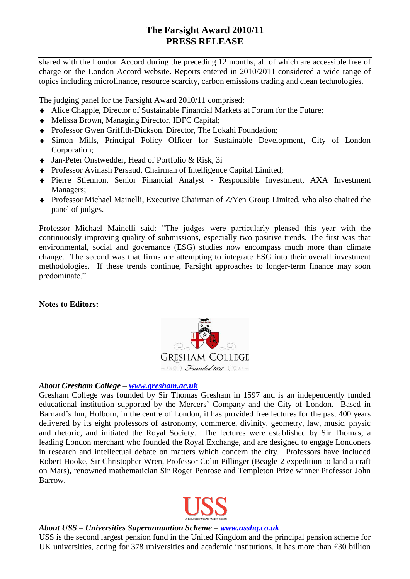# **The Farsight Award 2010/11 PRESS RELEASE**

shared with the London Accord during the preceding 12 months, all of which are accessible free of charge on the London Accord website. Reports entered in 2010/2011 considered a wide range of topics including microfinance, resource scarcity, carbon emissions trading and clean technologies.

The judging panel for the Farsight Award 2010/11 comprised:

- Alice Chapple, Director of Sustainable Financial Markets at Forum for the Future;
- Melissa Brown, Managing Director, IDFC Capital;
- Professor Gwen Griffith-Dickson, Director, The Lokahi Foundation;
- Simon Mills, Principal Policy Officer for Sustainable Development, City of London Corporation;
- Jan-Peter Onstwedder, Head of Portfolio & Risk, 3i
- Professor Avinash Persaud, Chairman of Intelligence Capital Limited;
- Pierre Stiennon, Senior Financial Analyst Responsible Investment, AXA Investment Managers;
- Professor Michael Mainelli, Executive Chairman of Z/Yen Group Limited, who also chaired the panel of judges.

Professor Michael Mainelli said: "The judges were particularly pleased this year with the continuously improving quality of submissions, especially two positive trends. The first was that environmental, social and governance (ESG) studies now encompass much more than climate change. The second was that firms are attempting to integrate ESG into their overall investment methodologies. If these trends continue, Farsight approaches to longer-term finance may soon predominate."

**Notes to Editors:**



### *About Gresham College – [www.gresham.ac.uk](http://www.gresham.ac.uk/)*

Gresham College was founded by Sir Thomas Gresham in 1597 and is an independently funded educational institution supported by the Mercers" Company and the City of London. Based in Barnard"s Inn, Holborn, in the centre of London, it has provided free lectures for the past 400 years delivered by its eight professors of astronomy, commerce, divinity, geometry, law, music, physic and rhetoric, and initiated the Royal Society. The lectures were established by Sir Thomas, a leading London merchant who founded the Royal Exchange, and are designed to engage Londoners in research and intellectual debate on matters which concern the city. Professors have included Robert Hooke, Sir Christopher Wren, Professor Colin Pillinger (Beagle-2 expedition to land a craft on Mars), renowned mathematician Sir Roger Penrose and Templeton Prize winner Professor John Barrow.



#### *About USS – Universities Superannuation Scheme – [www.usshq.co.uk](http://www.usshq.co.uk/)*

USS is the second largest pension fund in the United Kingdom and the principal pension scheme for UK universities, acting for 378 universities and academic institutions. It has more than £30 billion